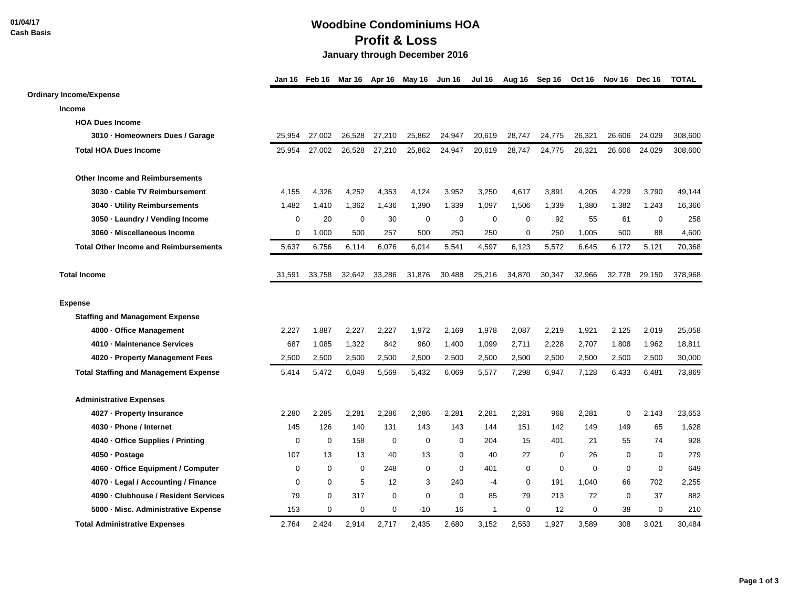**01/04/17 Cash Basis**

## **Woodbine Condominiums HOA Profit & Loss January through December 2016**

|                                              |          | Jan 16 Feb 16 |             |             |                  | Mar 16 Apr 16 May 16 Jun 16 | <b>Jul 16</b> |             | Aug 16 Sep 16 | <b>Oct 16</b> | Nov 16 Dec 16 |             | <b>TOTAL</b> |
|----------------------------------------------|----------|---------------|-------------|-------------|------------------|-----------------------------|---------------|-------------|---------------|---------------|---------------|-------------|--------------|
| <b>Ordinary Income/Expense</b>               |          |               |             |             |                  |                             |               |             |               |               |               |             |              |
| <b>Income</b>                                |          |               |             |             |                  |                             |               |             |               |               |               |             |              |
| <b>HOA Dues Income</b>                       |          |               |             |             |                  |                             |               |             |               |               |               |             |              |
| 3010 · Homeowners Dues / Garage              | 25,954   | 27,002        | 26,528      | 27,210      | 25,862           | 24,947                      | 20,619        | 28,747      | 24,775        | 26,321        | 26,606        | 24,029      | 308,600      |
| <b>Total HOA Dues Income</b>                 | 25,954   | 27,002        | 26,528      | 27,210      | 25,862           | 24,947                      | 20,619        | 28,747      | 24,775        | 26,321        | 26,606        | 24.029      | 308,600      |
| <b>Other Income and Reimbursements</b>       |          |               |             |             |                  |                             |               |             |               |               |               |             |              |
| 3030 · Cable TV Reimbursement                | 4,155    | 4,326         | 4,252       | 4,353       | 4,124            | 3,952                       | 3,250         | 4,617       | 3,891         | 4,205         | 4,229         | 3,790       | 49,144       |
| 3040 - Utility Reimbursements                | 1,482    | 1,410         | 1,362       | 1,436       | 1,390            | 1,339                       | 1,097         | 1,506       | 1,339         | 1,380         | 1,382         | 1,243       | 16,366       |
| 3050 · Laundry / Vending Income              | 0        | 20            | $\mathbf 0$ | 30          | $\mathbf 0$      | $\mathbf 0$                 | $\mathbf 0$   | 0           | 92            | 55            | 61            | $\mathbf 0$ | 258          |
| 3060 · Miscellaneous Income                  | 0        | 1,000         | 500         | 257         | 500              | 250                         | 250           | 0           | 250           | 1,005         | 500           | 88          | 4,600        |
| <b>Total Other Income and Reimbursements</b> | 5,637    | 6,756         | 6,114       | 6,076       | 6,014            | 5,541                       | 4,597         | 6,123       | 5,572         | 6,645         | 6,172         | 5,121       | 70,368       |
| <b>Total Income</b>                          | 31,591   | 33,758        | 32,642      | 33,286      | 31,876           | 30,488                      | 25,216        | 34,870      | 30,347        | 32,966        | 32,778        | 29,150      | 378,968      |
| <b>Expense</b>                               |          |               |             |             |                  |                             |               |             |               |               |               |             |              |
| <b>Staffing and Management Expense</b>       |          |               |             |             |                  |                             |               |             |               |               |               |             |              |
| 4000 - Office Management                     | 2,227    | 1,887         | 2,227       | 2,227       | 1,972            | 2,169                       | 1,978         | 2,087       | 2,219         | 1,921         | 2,125         | 2,019       | 25,058       |
| 4010 - Maintenance Services                  | 687      | 1,085         | 1,322       | 842         | 960              | 1,400                       | 1,099         | 2,711       | 2,228         | 2,707         | 1,808         | 1,962       | 18,811       |
| 4020 · Property Management Fees              | 2,500    | 2,500         | 2,500       | 2,500       | 2,500            | 2,500                       | 2,500         | 2,500       | 2,500         | 2,500         | 2,500         | 2,500       | 30,000       |
| <b>Total Staffing and Management Expense</b> | 5.414    | 5,472         | 6,049       | 5,569       | 5,432            | 6,069                       | 5,577         | 7,298       | 6,947         | 7,128         | 6,433         | 6,481       | 73,869       |
| <b>Administrative Expenses</b>               |          |               |             |             |                  |                             |               |             |               |               |               |             |              |
| 4027 - Property Insurance                    | 2,280    | 2,285         | 2,281       | 2,286       | 2,286            | 2,281                       | 2,281         | 2,281       | 968           | 2,281         | 0             | 2,143       | 23,653       |
| 4030 - Phone / Internet                      | 145      | 126           | 140         | 131         | 143              | 143                         | 144           | 151         | 142           | 149           | 149           | 65          | 1,628        |
| 4040 · Office Supplies / Printing            | $\Omega$ | $\mathbf 0$   | 158         | 0           | 0                | 0                           | 204           | 15          | 401           | 21            | 55            | 74          | 928          |
| 4050 · Postage                               | 107      | 13            | 13          | 40          | 13               | $\mathbf 0$                 | 40            | 27          | $\mathbf 0$   | 26            | $\mathbf 0$   | $\mathbf 0$ | 279          |
| 4060 - Office Equipment / Computer           | 0        | 0             | $\mathbf 0$ | 248         | 0                | $\mathbf 0$                 | 401           | $\mathbf 0$ | 0             | $\Omega$      | $\mathbf 0$   | $\mathbf 0$ | 649          |
| 4070 · Legal / Accounting / Finance          | 0        | $\mathbf 0$   | 5           | 12          | 3                | 240                         | -4            | $\mathbf 0$ | 191           | 1,040         | 66            | 702         | 2,255        |
| 4090 - Clubhouse / Resident Services         | 79       | $\mathbf 0$   | 317         | $\mathbf 0$ | $\boldsymbol{0}$ | 0                           | 85            | 79          | 213           | 72            | $\mathbf 0$   | 37          | 882          |
| 5000 - Misc. Administrative Expense          | 153      | 0             | 0           | 0           | $-10$            | 16                          | -1            | 0           | 12            | 0             | 38            | $\mathbf 0$ | 210          |
| <b>Total Administrative Expenses</b>         | 2.764    | 2.424         | 2.914       | 2.717       | 2.435            | 2.680                       | 3.152         | 2.553       | 1.927         | 3.589         | 308           | 3.021       | 30,484       |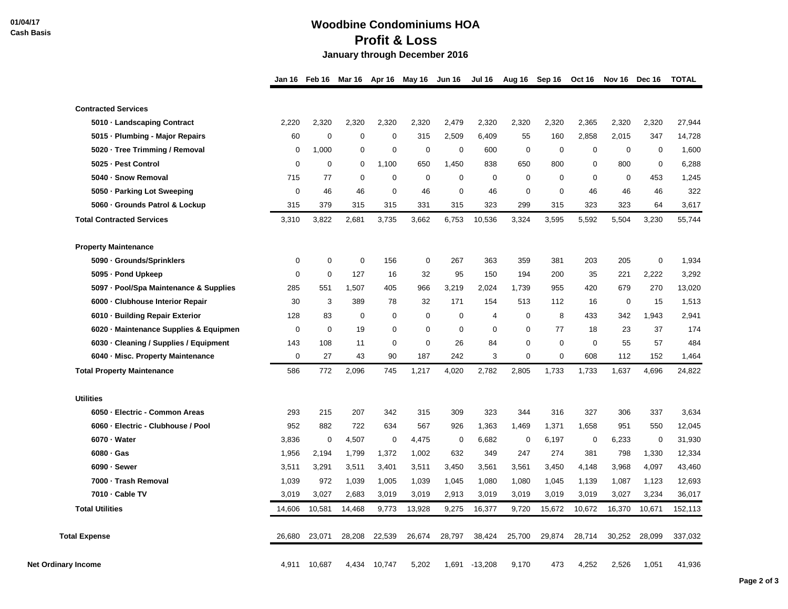## **Woodbine Condominiums HOA Profit & Loss January through December 2016**

|                                        |             | Jan 16 Feb 16 | Mar 16      | Apr 16      | May 16      | <b>Jun 16</b> | <b>Jul 16</b>  | Aug 16 Sep 16 |             | Oct 16      | Nov 16           | Dec 16      | <b>TOTAL</b> |
|----------------------------------------|-------------|---------------|-------------|-------------|-------------|---------------|----------------|---------------|-------------|-------------|------------------|-------------|--------------|
| <b>Contracted Services</b>             |             |               |             |             |             |               |                |               |             |             |                  |             |              |
| 5010 · Landscaping Contract            | 2,220       | 2,320         | 2,320       | 2,320       | 2,320       | 2,479         | 2,320          | 2,320         | 2,320       | 2,365       | 2,320            | 2,320       | 27,944       |
| 5015 · Plumbing - Major Repairs        | 60          | $\Omega$      | 0           | $\mathbf 0$ | 315         | 2,509         | 6,409          | 55            | 160         | 2,858       | 2,015            | 347         | 14,728       |
| 5020 · Tree Trimming / Removal         | 0           | 1,000         | 0           | 0           | $\mathbf 0$ | $\mathbf 0$   | 600            | $\mathbf 0$   | $\mathbf 0$ | 0           | $\mathbf 0$      | 0           | 1,600        |
| 5025 - Pest Control                    | $\mathbf 0$ | 0             | 0           | 1,100       | 650         | 1,450         | 838            | 650           | 800         | $\mathbf 0$ | 800              | $\mathbf 0$ | 6,288        |
| 5040 - Snow Removal                    | 715         | 77            | 0           | 0           | $\mathbf 0$ | $\mathbf 0$   | $\mathbf 0$    | 0             | $\mathbf 0$ | 0           | $\mathbf 0$      | 453         | 1,245        |
| 5050 · Parking Lot Sweeping            | $\mathbf 0$ | 46            | 46          | 0           | 46          | $\mathbf 0$   | 46             | $\Omega$      | 0           | 46          | 46               | 46          | 322          |
| 5060 · Grounds Patrol & Lockup         | 315         | 379           | 315         | 315         | 331         | 315           | 323            | 299           | 315         | 323         | 323              | 64          | 3,617        |
| <b>Total Contracted Services</b>       | 3,310       | 3,822         | 2,681       | 3,735       | 3,662       | 6,753         | 10,536         | 3,324         | 3,595       | 5,592       | 5,504            | 3,230       | 55,744       |
| <b>Property Maintenance</b>            |             |               |             |             |             |               |                |               |             |             |                  |             |              |
| 5090 · Grounds/Sprinklers              | 0           | $\mathbf 0$   | $\mathbf 0$ | 156         | 0           | 267           | 363            | 359           | 381         | 203         | 205              | 0           | 1,934        |
| 5095 - Pond Upkeep                     | $\mathbf 0$ | $\mathbf 0$   | 127         | 16          | 32          | 95            | 150            | 194           | 200         | 35          | 221              | 2,222       | 3,292        |
| 5097 - Pool/Spa Maintenance & Supplies | 285         | 551           | 1,507       | 405         | 966         | 3,219         | 2,024          | 1,739         | 955         | 420         | 679              | 270         | 13,020       |
| 6000 - Clubhouse Interior Repair       | 30          | 3             | 389         | 78          | 32          | 171           | 154            | 513           | 112         | 16          | $\boldsymbol{0}$ | 15          | 1,513        |
| 6010 · Building Repair Exterior        | 128         | 83            | 0           | 0           | 0           | $\mathbf 0$   | $\overline{4}$ | 0             | 8           | 433         | 342              | 1,943       | 2,941        |
| 6020 - Maintenance Supplies & Equipmen | $\mathbf 0$ | $\mathbf 0$   | 19          | 0           | 0           | $\mathbf 0$   | $\mathbf 0$    | 0             | 77          | 18          | 23               | 37          | 174          |
| 6030 · Cleaning / Supplies / Equipment | 143         | 108           | 11          | $\mathbf 0$ | $\mathbf 0$ | 26            | 84             | $\Omega$      | $\mathbf 0$ | $\mathbf 0$ | 55               | 57          | 484          |
| 6040 - Misc. Property Maintenance      | $\mathbf 0$ | 27            | 43          | 90          | 187         | 242           | 3              | $\mathbf 0$   | $\mathbf 0$ | 608         | 112              | 152         | 1,464        |
| <b>Total Property Maintenance</b>      | 586         | 772           | 2,096       | 745         | 1,217       | 4,020         | 2,782          | 2,805         | 1,733       | 1,733       | 1,637            | 4,696       | 24,822       |
| <b>Utilities</b>                       |             |               |             |             |             |               |                |               |             |             |                  |             |              |
| 6050 - Electric - Common Areas         | 293         | 215           | 207         | 342         | 315         | 309           | 323            | 344           | 316         | 327         | 306              | 337         | 3,634        |
| 6060 - Electric - Clubhouse / Pool     | 952         | 882           | 722         | 634         | 567         | 926           | 1,363          | 1,469         | 1,371       | 1,658       | 951              | 550         | 12,045       |
| 6070 · Water                           | 3,836       | $\mathbf 0$   | 4,507       | $\mathbf 0$ | 4,475       | $\mathbf 0$   | 6,682          | $\mathbf 0$   | 6,197       | $\mathbf 0$ | 6,233            | $\mathbf 0$ | 31,930       |
| 6080 · Gas                             | 1,956       | 2,194         | 1,799       | 1,372       | 1,002       | 632           | 349            | 247           | 274         | 381         | 798              | 1,330       | 12,334       |
| $6090 -$ Sewer                         | 3,511       | 3,291         | 3,511       | 3,401       | 3,511       | 3,450         | 3,561          | 3,561         | 3,450       | 4,148       | 3,968            | 4,097       | 43,460       |
| 7000 - Trash Removal                   | 1,039       | 972           | 1,039       | 1,005       | 1,039       | 1,045         | 1,080          | 1,080         | 1,045       | 1,139       | 1,087            | 1,123       | 12,693       |
| 7010 - Cable TV                        | 3,019       | 3,027         | 2,683       | 3,019       | 3,019       | 2,913         | 3,019          | 3,019         | 3,019       | 3,019       | 3,027            | 3,234       | 36,017       |
| <b>Total Utilities</b>                 | 14,606      | 10,581        | 14,468      | 9,773       | 13,928      | 9,275         | 16,377         | 9,720         | 15,672      | 10,672      | 16,370           | 10,671      | 152,113      |
| <b>Total Expense</b>                   | 26,680      | 23,071        | 28,208      | 22,539      | 26,674      | 28,797        | 38,424         | 25,700        | 29,874      | 28,714      | 30,252           | 28,099      | 337,032      |
| <b>Net Ordinary Income</b>             | 4,911       | 10,687        | 4,434       | 10,747      | 5,202       | 1,691         | $-13,208$      | 9,170         | 473         | 4,252       | 2,526            | 1,051       | 41,936       |